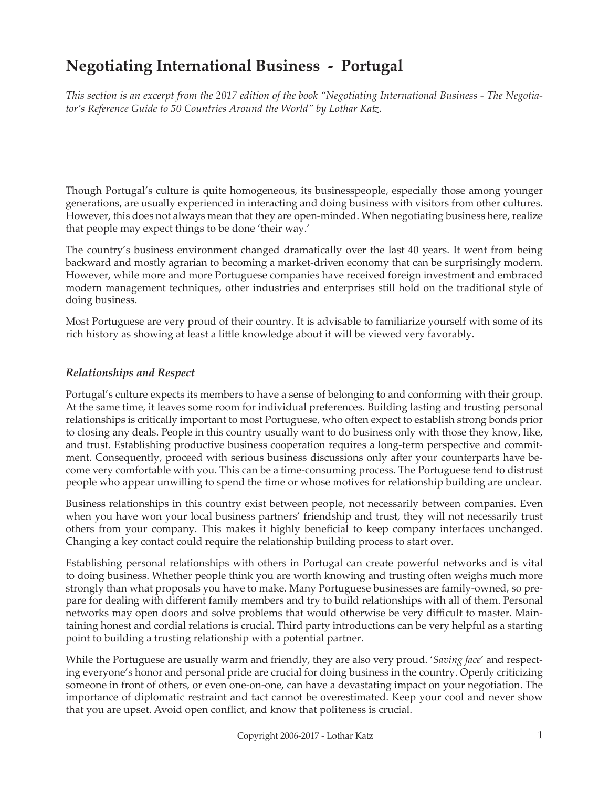# **Negotiating International Business - Portugal**

*This section is an excerpt from the 2017 edition of the book "Negotiating International Business - The Negotiator's Reference Guide to 50 Countries Around the World" by Lothar Katz.*

Though Portugal's culture is quite homogeneous, its businesspeople, especially those among younger generations, are usually experienced in interacting and doing business with visitors from other cultures. However, this does not always mean that they are open-minded. When negotiating business here, realize that people may expect things to be done 'their way.'

The country's business environment changed dramatically over the last 40 years. It went from being backward and mostly agrarian to becoming a market-driven economy that can be surprisingly modern. However, while more and more Portuguese companies have received foreign investment and embraced modern management techniques, other industries and enterprises still hold on the traditional style of doing business.

Most Portuguese are very proud of their country. It is advisable to familiarize yourself with some of its rich history as showing at least a little knowledge about it will be viewed very favorably.

#### *Relationships and Respect*

Portugal's culture expects its members to have a sense of belonging to and conforming with their group. At the same time, it leaves some room for individual preferences. Building lasting and trusting personal relationships is critically important to most Portuguese, who often expect to establish strong bonds prior to closing any deals. People in this country usually want to do business only with those they know, like, and trust. Establishing productive business cooperation requires a long-term perspective and commitment. Consequently, proceed with serious business discussions only after your counterparts have become very comfortable with you. This can be a time-consuming process. The Portuguese tend to distrust people who appear unwilling to spend the time or whose motives for relationship building are unclear.

Business relationships in this country exist between people, not necessarily between companies. Even when you have won your local business partners' friendship and trust, they will not necessarily trust others from your company. This makes it highly beneficial to keep company interfaces unchanged. Changing a key contact could require the relationship building process to start over.

Establishing personal relationships with others in Portugal can create powerful networks and is vital to doing business. Whether people think you are worth knowing and trusting often weighs much more strongly than what proposals you have to make. Many Portuguese businesses are family-owned, so prepare for dealing with different family members and try to build relationships with all of them. Personal networks may open doors and solve problems that would otherwise be very difficult to master. Maintaining honest and cordial relations is crucial. Third party introductions can be very helpful as a starting point to building a trusting relationship with a potential partner.

While the Portuguese are usually warm and friendly, they are also very proud. '*Saving face*' and respecting everyone's honor and personal pride are crucial for doing business in the country. Openly criticizing someone in front of others, or even one-on-one, can have a devastating impact on your negotiation. The importance of diplomatic restraint and tact cannot be overestimated. Keep your cool and never show that you are upset. Avoid open conflict, and know that politeness is crucial.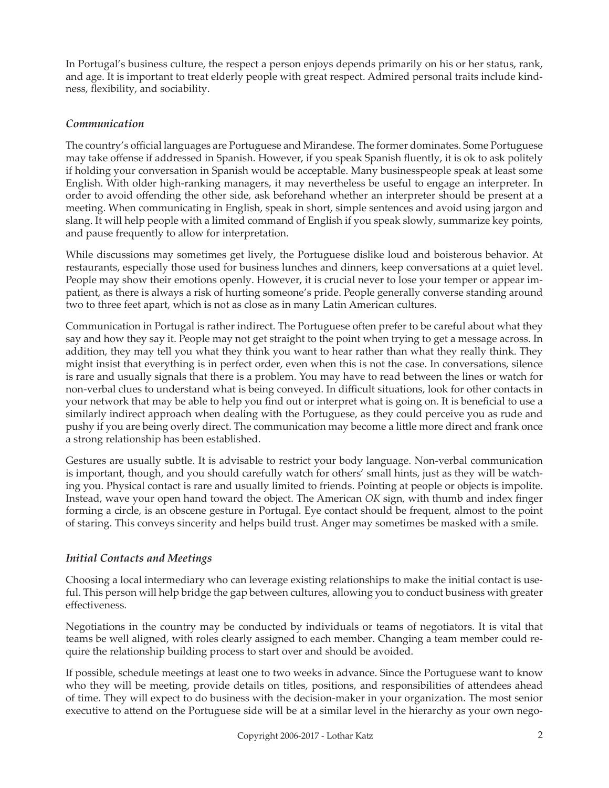In Portugal's business culture, the respect a person enjoys depends primarily on his or her status, rank, and age. It is important to treat elderly people with great respect. Admired personal traits include kindness, flexibility, and sociability.

### *Communication*

The country's official languages are Portuguese and Mirandese. The former dominates. Some Portuguese may take offense if addressed in Spanish. However, if you speak Spanish fluently, it is ok to ask politely if holding your conversation in Spanish would be acceptable. Many businesspeople speak at least some English. With older high-ranking managers, it may nevertheless be useful to engage an interpreter. In order to avoid offending the other side, ask beforehand whether an interpreter should be present at a meeting. When communicating in English, speak in short, simple sentences and avoid using jargon and slang. It will help people with a limited command of English if you speak slowly, summarize key points, and pause frequently to allow for interpretation.

While discussions may sometimes get lively, the Portuguese dislike loud and boisterous behavior. At restaurants, especially those used for business lunches and dinners, keep conversations at a quiet level. People may show their emotions openly. However, it is crucial never to lose your temper or appear impatient, as there is always a risk of hurting someone's pride. People generally converse standing around two to three feet apart, which is not as close as in many Latin American cultures.

Communication in Portugal is rather indirect. The Portuguese often prefer to be careful about what they say and how they say it. People may not get straight to the point when trying to get a message across. In addition, they may tell you what they think you want to hear rather than what they really think. They might insist that everything is in perfect order, even when this is not the case. In conversations, silence is rare and usually signals that there is a problem. You may have to read between the lines or watch for non-verbal clues to understand what is being conveyed. In difficult situations, look for other contacts in your network that may be able to help you find out or interpret what is going on. It is beneficial to use a similarly indirect approach when dealing with the Portuguese, as they could perceive you as rude and pushy if you are being overly direct. The communication may become a little more direct and frank once a strong relationship has been established.

Gestures are usually subtle. It is advisable to restrict your body language. Non-verbal communication is important, though, and you should carefully watch for others' small hints, just as they will be watching you. Physical contact is rare and usually limited to friends. Pointing at people or objects is impolite. Instead, wave your open hand toward the object. The American *OK* sign, with thumb and index finger forming a circle, is an obscene gesture in Portugal. Eye contact should be frequent, almost to the point of staring. This conveys sincerity and helps build trust. Anger may sometimes be masked with a smile.

## *Initial Contacts and Meetings*

Choosing a local intermediary who can leverage existing relationships to make the initial contact is useful. This person will help bridge the gap between cultures, allowing you to conduct business with greater effectiveness.

Negotiations in the country may be conducted by individuals or teams of negotiators. It is vital that teams be well aligned, with roles clearly assigned to each member. Changing a team member could require the relationship building process to start over and should be avoided.

If possible, schedule meetings at least one to two weeks in advance. Since the Portuguese want to know who they will be meeting, provide details on titles, positions, and responsibilities of attendees ahead of time. They will expect to do business with the decision-maker in your organization. The most senior executive to attend on the Portuguese side will be at a similar level in the hierarchy as your own nego-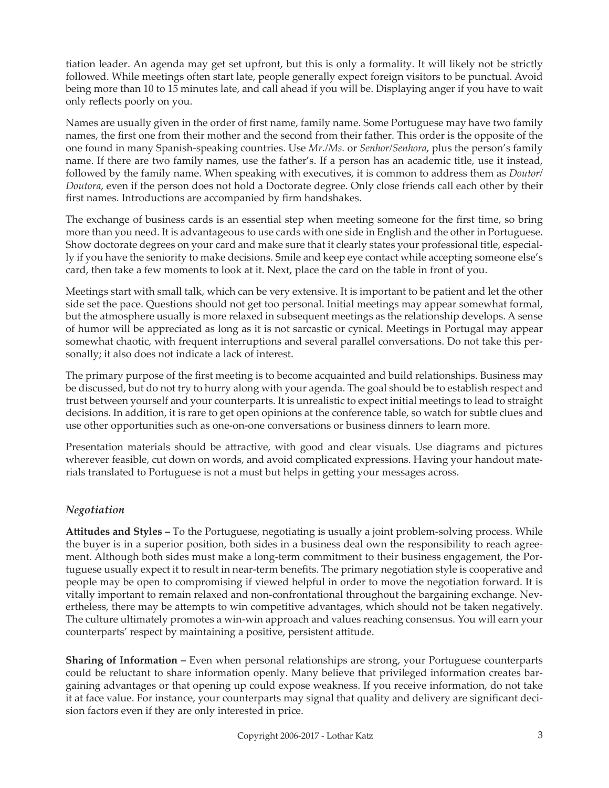tiation leader. An agenda may get set upfront, but this is only a formality. It will likely not be strictly followed. While meetings often start late, people generally expect foreign visitors to be punctual. Avoid being more than 10 to 15 minutes late, and call ahead if you will be. Displaying anger if you have to wait only reflects poorly on you.

Names are usually given in the order of first name, family name. Some Portuguese may have two family names, the first one from their mother and the second from their father. This order is the opposite of the one found in many Spanish-speaking countries. Use *Mr./Ms.* or *Senhor/Senhora*, plus the person's family name. If there are two family names, use the father's. If a person has an academic title, use it instead, followed by the family name. When speaking with executives, it is common to address them as *Doutor/ Doutora*, even if the person does not hold a Doctorate degree. Only close friends call each other by their first names. Introductions are accompanied by firm handshakes.

The exchange of business cards is an essential step when meeting someone for the first time, so bring more than you need. It is advantageous to use cards with one side in English and the other in Portuguese. Show doctorate degrees on your card and make sure that it clearly states your professional title, especially if you have the seniority to make decisions. Smile and keep eye contact while accepting someone else's card, then take a few moments to look at it. Next, place the card on the table in front of you.

Meetings start with small talk, which can be very extensive. It is important to be patient and let the other side set the pace. Questions should not get too personal. Initial meetings may appear somewhat formal, but the atmosphere usually is more relaxed in subsequent meetings as the relationship develops. A sense of humor will be appreciated as long as it is not sarcastic or cynical. Meetings in Portugal may appear somewhat chaotic, with frequent interruptions and several parallel conversations. Do not take this personally; it also does not indicate a lack of interest.

The primary purpose of the first meeting is to become acquainted and build relationships. Business may be discussed, but do not try to hurry along with your agenda. The goal should be to establish respect and trust between yourself and your counterparts. It is unrealistic to expect initial meetings to lead to straight decisions. In addition, it is rare to get open opinions at the conference table, so watch for subtle clues and use other opportunities such as one-on-one conversations or business dinners to learn more.

Presentation materials should be attractive, with good and clear visuals. Use diagrams and pictures wherever feasible, cut down on words, and avoid complicated expressions. Having your handout materials translated to Portuguese is not a must but helps in getting your messages across.

## *Negotiation*

**Attitudes and Styles –** To the Portuguese, negotiating is usually a joint problem-solving process. While the buyer is in a superior position, both sides in a business deal own the responsibility to reach agreement. Although both sides must make a long-term commitment to their business engagement, the Portuguese usually expect it to result in near-term benefits. The primary negotiation style is cooperative and people may be open to compromising if viewed helpful in order to move the negotiation forward. It is vitally important to remain relaxed and non-confrontational throughout the bargaining exchange. Nevertheless, there may be attempts to win competitive advantages, which should not be taken negatively. The culture ultimately promotes a win-win approach and values reaching consensus. You will earn your counterparts' respect by maintaining a positive, persistent attitude.

**Sharing of Information –** Even when personal relationships are strong, your Portuguese counterparts could be reluctant to share information openly. Many believe that privileged information creates bargaining advantages or that opening up could expose weakness. If you receive information, do not take it at face value. For instance, your counterparts may signal that quality and delivery are significant decision factors even if they are only interested in price.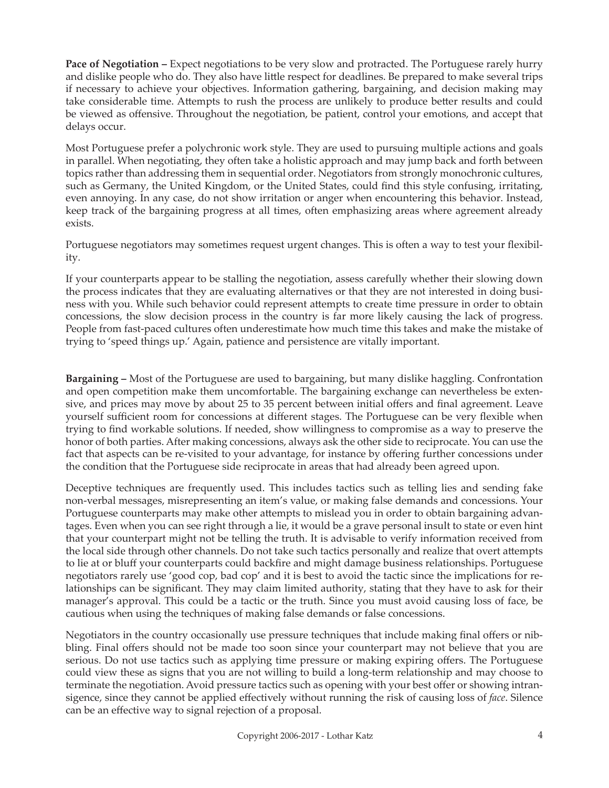**Pace of Negotiation –** Expect negotiations to be very slow and protracted. The Portuguese rarely hurry and dislike people who do. They also have little respect for deadlines. Be prepared to make several trips if necessary to achieve your objectives. Information gathering, bargaining, and decision making may take considerable time. Attempts to rush the process are unlikely to produce better results and could be viewed as offensive. Throughout the negotiation, be patient, control your emotions, and accept that delays occur.

Most Portuguese prefer a polychronic work style. They are used to pursuing multiple actions and goals in parallel. When negotiating, they often take a holistic approach and may jump back and forth between topics rather than addressing them in sequential order. Negotiators from strongly monochronic cultures, such as Germany, the United Kingdom, or the United States, could find this style confusing, irritating, even annoying. In any case, do not show irritation or anger when encountering this behavior. Instead, keep track of the bargaining progress at all times, often emphasizing areas where agreement already exists.

Portuguese negotiators may sometimes request urgent changes. This is often a way to test your flexibility.

If your counterparts appear to be stalling the negotiation, assess carefully whether their slowing down the process indicates that they are evaluating alternatives or that they are not interested in doing business with you. While such behavior could represent attempts to create time pressure in order to obtain concessions, the slow decision process in the country is far more likely causing the lack of progress. People from fast-paced cultures often underestimate how much time this takes and make the mistake of trying to 'speed things up.' Again, patience and persistence are vitally important.

**Bargaining –** Most of the Portuguese are used to bargaining, but many dislike haggling. Confrontation and open competition make them uncomfortable. The bargaining exchange can nevertheless be extensive, and prices may move by about 25 to 35 percent between initial offers and final agreement. Leave yourself sufficient room for concessions at different stages. The Portuguese can be very flexible when trying to find workable solutions. If needed, show willingness to compromise as a way to preserve the honor of both parties. After making concessions, always ask the other side to reciprocate. You can use the fact that aspects can be re-visited to your advantage, for instance by offering further concessions under the condition that the Portuguese side reciprocate in areas that had already been agreed upon.

Deceptive techniques are frequently used. This includes tactics such as telling lies and sending fake non-verbal messages, misrepresenting an item's value, or making false demands and concessions. Your Portuguese counterparts may make other attempts to mislead you in order to obtain bargaining advantages. Even when you can see right through a lie, it would be a grave personal insult to state or even hint that your counterpart might not be telling the truth. It is advisable to verify information received from the local side through other channels. Do not take such tactics personally and realize that overt attempts to lie at or bluff your counterparts could backfire and might damage business relationships. Portuguese negotiators rarely use 'good cop, bad cop' and it is best to avoid the tactic since the implications for relationships can be significant. They may claim limited authority, stating that they have to ask for their manager's approval. This could be a tactic or the truth. Since you must avoid causing loss of face, be cautious when using the techniques of making false demands or false concessions.

Negotiators in the country occasionally use pressure techniques that include making final offers or nibbling. Final offers should not be made too soon since your counterpart may not believe that you are serious. Do not use tactics such as applying time pressure or making expiring offers. The Portuguese could view these as signs that you are not willing to build a long-term relationship and may choose to terminate the negotiation. Avoid pressure tactics such as opening with your best offer or showing intransigence, since they cannot be applied effectively without running the risk of causing loss of *face*. Silence can be an effective way to signal rejection of a proposal.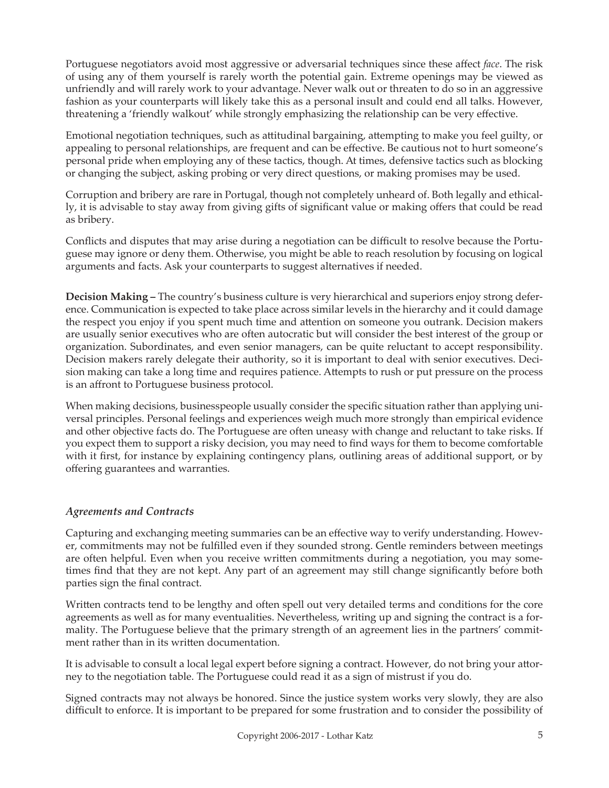Portuguese negotiators avoid most aggressive or adversarial techniques since these affect *face*. The risk of using any of them yourself is rarely worth the potential gain. Extreme openings may be viewed as unfriendly and will rarely work to your advantage. Never walk out or threaten to do so in an aggressive fashion as your counterparts will likely take this as a personal insult and could end all talks. However, threatening a 'friendly walkout' while strongly emphasizing the relationship can be very effective.

Emotional negotiation techniques, such as attitudinal bargaining, attempting to make you feel guilty, or appealing to personal relationships, are frequent and can be effective. Be cautious not to hurt someone's personal pride when employing any of these tactics, though. At times, defensive tactics such as blocking or changing the subject, asking probing or very direct questions, or making promises may be used.

Corruption and bribery are rare in Portugal, though not completely unheard of. Both legally and ethically, it is advisable to stay away from giving gifts of significant value or making offers that could be read as bribery.

Conflicts and disputes that may arise during a negotiation can be difficult to resolve because the Portuguese may ignore or deny them. Otherwise, you might be able to reach resolution by focusing on logical arguments and facts. Ask your counterparts to suggest alternatives if needed.

**Decision Making –** The country's business culture is very hierarchical and superiors enjoy strong deference. Communication is expected to take place across similar levels in the hierarchy and it could damage the respect you enjoy if you spent much time and attention on someone you outrank. Decision makers are usually senior executives who are often autocratic but will consider the best interest of the group or organization. Subordinates, and even senior managers, can be quite reluctant to accept responsibility. Decision makers rarely delegate their authority, so it is important to deal with senior executives. Decision making can take a long time and requires patience. Attempts to rush or put pressure on the process is an affront to Portuguese business protocol.

When making decisions, businesspeople usually consider the specific situation rather than applying universal principles. Personal feelings and experiences weigh much more strongly than empirical evidence and other objective facts do. The Portuguese are often uneasy with change and reluctant to take risks. If you expect them to support a risky decision, you may need to find ways for them to become comfortable with it first, for instance by explaining contingency plans, outlining areas of additional support, or by offering guarantees and warranties.

## *Agreements and Contracts*

Capturing and exchanging meeting summaries can be an effective way to verify understanding. However, commitments may not be fulfilled even if they sounded strong. Gentle reminders between meetings are often helpful. Even when you receive written commitments during a negotiation, you may sometimes find that they are not kept. Any part of an agreement may still change significantly before both parties sign the final contract.

Written contracts tend to be lengthy and often spell out very detailed terms and conditions for the core agreements as well as for many eventualities. Nevertheless, writing up and signing the contract is a formality. The Portuguese believe that the primary strength of an agreement lies in the partners' commitment rather than in its written documentation.

It is advisable to consult a local legal expert before signing a contract. However, do not bring your attorney to the negotiation table. The Portuguese could read it as a sign of mistrust if you do.

Signed contracts may not always be honored. Since the justice system works very slowly, they are also difficult to enforce. It is important to be prepared for some frustration and to consider the possibility of